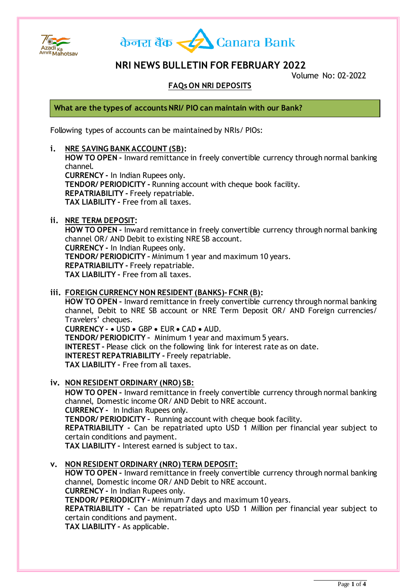



## **NRI NEWS BULLETIN FOR FEBRUARY 2022**

Volume No: 02-2022

### **FAQs ON NRI DEPOSITS**

**What are the types of accounts NRI/ PIO can maintain with our Bank?**

Following types of accounts can be maintained by NRIs/ PIOs:

#### **i. NRE SAVING BANK ACCOUNT (SB):**

**HOW TO OPEN -** Inward remittance in freely convertible currency through normal banking channel.

**CURRENCY -** In Indian Rupees only. **TENDOR/ PERIODICITY -** Running account with cheque book facility. **REPATRIABILITY -** Freely repatriable. **TAX LIABILITY -** Free from all taxes.

#### **ii. NRE TERM DEPOSIT:**

**HOW TO OPEN -** Inward remittance in freely convertible currency through normal banking channel OR/ AND Debit to existing NRE SB account. **CURRENCY -** In Indian Rupees only. **TENDOR/ PERIODICITY –** Minimum 1 year and maximum 10 years. **REPATRIABILITY -** Freely repatriable. **TAX LIABILITY -** Free from all taxes.

#### **iii. FOREIGN CURRENCY NON RESIDENT (BANKS)- FCNR (B):**

**HOW TO OPEN -** Inward remittance in freely convertible currency through normal banking channel, Debit to NRE SB account or NRE Term Deposit OR/ AND Foreign currencies/ Travelers' cheques.

**CURRENCY -** USD GBP EUR CAD AUD. **TENDOR/ PERIODICITY –** Minimum 1 year and maximum 5 years. **INTEREST -** Please click on the following link for interest rate as on date. **INTEREST REPATRIABILITY -** Freely repatriable. **TAX LIABILITY -** Free from all taxes.

#### **iv. NON RESIDENT ORDINARY (NRO) SB:**

**HOW TO OPEN -** Inward remittance in freely convertible currency through normal banking channel, Domestic income OR/ AND Debit to NRE account.

**CURRENCY -** In Indian Rupees only.

**TENDOR/ PERIODICITY –** Running account with cheque book facility.

**REPATRIABILITY -** Can be repatriated upto USD 1 Million per financial year subject to certain conditions and payment.

**TAX LIABILITY -** Interest earned is subject to tax.

#### **v. NON RESIDENT ORDINARY (NRO) TERM DEPOSIT:**

**HOW TO OPEN -** Inward remittance in freely convertible currency through normal banking channel, Domestic income OR/ AND Debit to NRE account.

**CURRENCY -** In Indian Rupees only.

**TENDOR/ PERIODICITY –** Minimum 7 days and maximum 10 years.

**REPATRIABILITY -** Can be repatriated upto USD 1 Million per financial year subject to certain conditions and payment.

**TAX LIABILITY -** As applicable.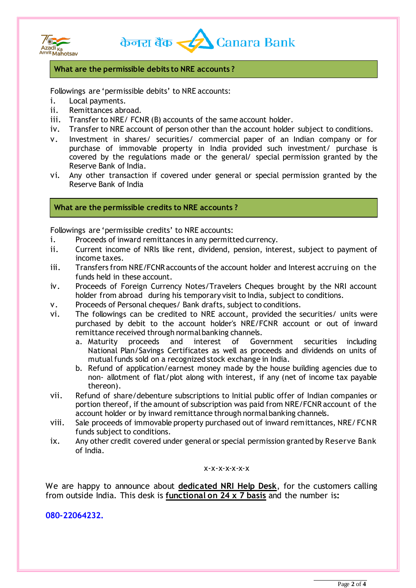



#### **What are the permissible debits to NRE accounts ?**

Followings are 'permissible debits' to NRE accounts:

- i. Local payments.
- ii. Remittances abroad.
- iii. Transfer to NRE/ FCNR (B) accounts of the same account holder.
- iv. Transfer to NRE account of person other than the account holder subject to conditions.
- v. Investment in shares/ securities/ commercial paper of an Indian company or for purchase of immovable property in India provided such investment/ purchase is covered by the regulations made or the general/ special permission granted by the Reserve Bank of India.
- vi. Any other transaction if covered under general or special permission granted by the Reserve Bank of India

#### **What are the permissible credits to NRE accounts ?**

Followings are 'permissible credits' to NRE accounts:

- i. Proceeds of inward remittances in any permitted currency.
- ii. Current income of NRIs like rent, dividend, pension, interest, subject to payment of income taxes.
- iii. Transfers from NRE/FCNR accounts of the account holder and Interest accruing on the funds held in these account.
- iv. Proceeds of Foreign Currency Notes/Travelers Cheques brought by the NRI account holder from abroad during his temporary visit to India, subject to conditions.
- v. Proceeds of Personal cheques/ Bank drafts, subject to conditions.
- vi. The followings can be credited to NRE account, provided the securities/ units were purchased by debit to the account holder's NRE/FCNR account or out of inward remittance received through normal banking channels.
	- a. Maturity proceeds and interest of Government securities including National Plan/Savings Certificates as well as proceeds and dividends on units of mutual funds sold on a recognized stock exchange in India.
	- b. Refund of application/earnest money made by the house building agencies due to non- allotment of flat/plot along with interest, if any (net of income tax payable thereon).
- vii. Refund of share/debenture subscriptions to Initial public offer of Indian companies or portion thereof, if the amount of subscription was paid from NRE/FCNR account of the account holder or by inward remittance through normal banking channels.
- viii. Sale proceeds of immovable property purchased out of inward remittances, NRE/ FCNR funds subject to conditions.
- ix. Any other credit covered under general or special permission granted by Reserve Bank of India.

x-x-x-x-x-x-x

We are happy to announce about **dedicated NRI Help Desk**, for the customers calling from outside India. This desk is **functional on 24 x 7 basis** and the number is**:**

**080-22064232.**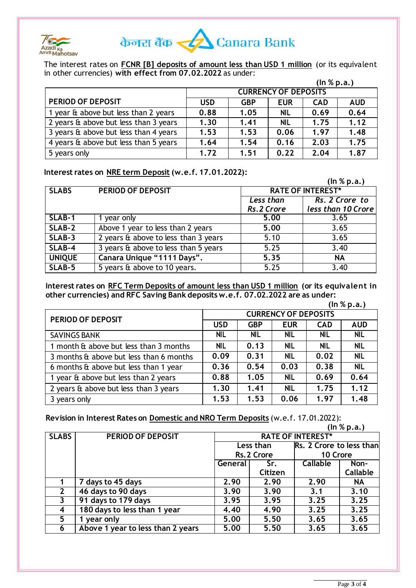

# केनरा बैंक <u><<</u> Canara Bank

The interest rates on **FCNR [B] deposits of amount less than USD 1 million** (or its equivalent in other currencies) **with effect from 07.02.2022** as under:

|                                              | (ln % p.a.)                 |            |            |            |            |
|----------------------------------------------|-----------------------------|------------|------------|------------|------------|
|                                              | <b>CURRENCY OF DEPOSITS</b> |            |            |            |            |
| <b>PERIOD OF DEPOSIT</b>                     | <b>USD</b>                  | <b>GBP</b> | <b>EUR</b> | <b>CAD</b> | <b>AUD</b> |
| 1 year & above but less than 2 years         | 0.88                        | 1.05       | <b>NIL</b> | 0.69       | 0.64       |
| 2 years & above but less than 3 years        | 1.30                        | 1.41       | <b>NIL</b> | 1.75       | 1.12       |
| 3 years $\theta$ above but less than 4 years | 1.53                        | 1.53       | 0.06       | 1.97       | 1.48       |
| 4 years & above but less than 5 years        | 1.64                        | 1.54       | 0.16       | 2.03       | 1.75       |
| 5 years only                                 | 1.72                        | 1.51       | 0.22       | 2.04       | 1.87       |

#### **Interest rates on NRE term Deposit (w.e.f. 17.01.2022):**

|               |                                      |                          | (ln % p.a.)        |  |
|---------------|--------------------------------------|--------------------------|--------------------|--|
| <b>SLABS</b>  | PERIOD OF DEPOSIT                    | <b>RATE OF INTEREST*</b> |                    |  |
|               |                                      | Less than                | Rs. 2 Crore to     |  |
|               |                                      | Rs.2 Crore               | less than 10 Crore |  |
| SLAB-1        | 1 year only                          | 5.00                     | 3.65               |  |
| SLAB-2        | Above 1 year to less than 2 years    | 5.00                     | 3.65               |  |
| SLAB-3        | 2 years & above to less than 3 years | 5.10                     | 3.65               |  |
| SLAB-4        | 3 years & above to less than 5 years | 5.25                     | 3.40               |  |
| <b>UNIQUE</b> | Canara Unique "1111 Days".           | 5.35                     | <b>NA</b>          |  |
| SLAB-5        | 5 years & above to 10 years.         | 5.25                     | 3.40               |  |

**Interest rates on RFC Term Deposits of amount less than USD 1 million (or its equivalent in other currencies) and RFC Saving Bank deposits w.e.f. 07.02.2022 are as under:**

|                                              | (ln % p.a.)                 |            |            |            |            |
|----------------------------------------------|-----------------------------|------------|------------|------------|------------|
| PERIOD OF DEPOSIT                            | <b>CURRENCY OF DEPOSITS</b> |            |            |            |            |
|                                              | <b>USD</b>                  | <b>GBP</b> | <b>EUR</b> | <b>CAD</b> | <b>AUD</b> |
| <b>SAVINGS BANK</b>                          | <b>NIL</b>                  | <b>NIL</b> | <b>NIL</b> | <b>NIL</b> | <b>NIL</b> |
| 1 month & above but less than 3 months       | <b>NIL</b>                  | 0.13       | <b>NIL</b> | <b>NIL</b> | <b>NIL</b> |
| 3 months & above but less than 6 months      | 0.09                        | 0.31       | <b>NIL</b> | 0.02       | <b>NIL</b> |
| 6 months & above but less than 1 year        | 0.36                        | 0.54       | 0.03       | 0.38       | <b>NIL</b> |
| 1 year & above but less than 2 years         | 0.88                        | 1.05       | <b>NIL</b> | 0.69       | 0.64       |
| 2 years $\theta$ above but less than 3 years | 1.30                        | 1.41       | <b>NIL</b> | 1.75       | 1.12       |
| 3 years only                                 | 1.53                        | 1.53       | 0.06       | 1.97       | 1.48       |

**Revision in Interest Rates on Domestic and NRO Term Deposits** (w.e.f. 17.01.2022):

|              |                                   | (ln % p.a.)              |         |                          |                 |
|--------------|-----------------------------------|--------------------------|---------|--------------------------|-----------------|
| <b>SLABS</b> | PERIOD OF DEPOSIT                 | <b>RATE OF INTEREST*</b> |         |                          |                 |
|              |                                   | Less than                |         | Rs. 2 Crore to less than |                 |
|              |                                   | Rs. 2 Crore              |         | 10 Crore                 |                 |
|              |                                   | General                  | Sr.     | Callable                 | Non-            |
|              |                                   |                          | Citizen |                          | <b>Callable</b> |
|              | 7 days to 45 days                 | 2.90                     | 2.90    | 2.90                     | <b>NA</b>       |
| $\mathbf{2}$ | 46 days to 90 days                | 3.90                     | 3.90    | 3.1                      | 3.10            |
| 3            | 91 days to 179 days               | 3.95                     | 3.95    | 3.25                     | 3.25            |
| 4            | 180 days to less than 1 year      | 4.40                     | 4.90    | 3.25                     | 3.25            |
| 5.           | year only                         | 5.00                     | 5.50    | 3.65                     | 3.65            |
| 6            | Above 1 year to less than 2 years | 5.00                     | 5.50    | 3.65                     | 3.65            |